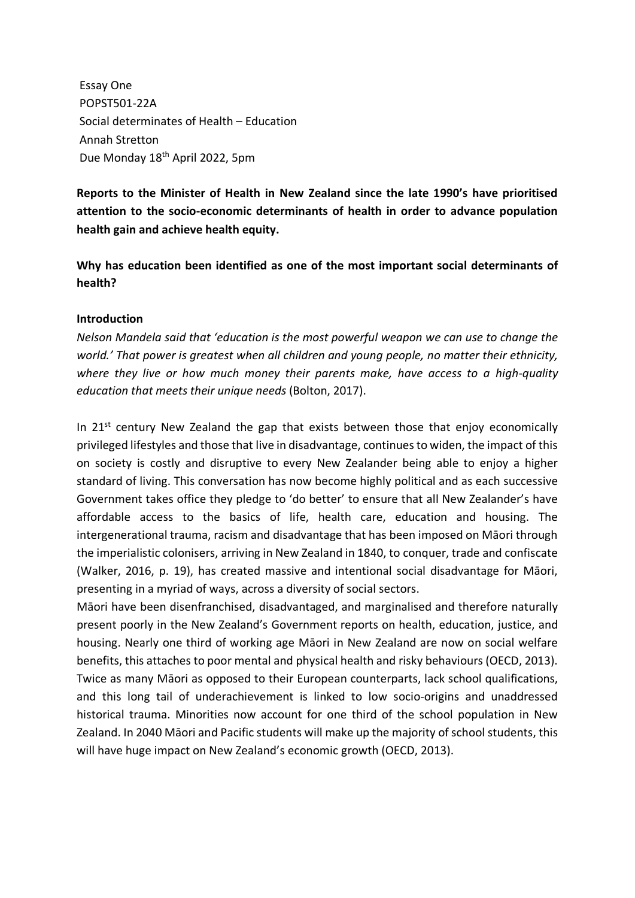Essay One POPST501-22A Social determinates of Health – Education Annah Stretton Due Monday 18th April 2022, 5pm

**Reports to the Minister of Health in New Zealand since the late 1990's have prioritised attention to the socio-economic determinants of health in order to advance population health gain and achieve health equity.**

**Why has education been identified as one of the most important social determinants of health?** 

### **Introduction**

*Nelson Mandela said that 'education is the most powerful weapon we can use to change the world.' That power is greatest when all children and young people, no matter their ethnicity, where they live or how much money their parents make, have access to a high-quality education that meets their unique needs* (Bolton, 2017).

In  $21^{st}$  century New Zealand the gap that exists between those that enjoy economically privileged lifestyles and those that live in disadvantage, continues to widen, the impact of this on society is costly and disruptive to every New Zealander being able to enjoy a higher standard of living. This conversation has now become highly political and as each successive Government takes office they pledge to 'do better' to ensure that all New Zealander's have affordable access to the basics of life, health care, education and housing. The intergenerational trauma, racism and disadvantage that has been imposed on Māori through the imperialistic colonisers, arriving in New Zealand in 1840, to conquer, trade and confiscate (Walker, 2016, p. 19), has created massive and intentional social disadvantage for Māori, presenting in a myriad of ways, across a diversity of social sectors.

Māori have been disenfranchised, disadvantaged, and marginalised and therefore naturally present poorly in the New Zealand's Government reports on health, education, justice, and housing. Nearly one third of working age Māori in New Zealand are now on social welfare benefits, this attaches to poor mental and physical health and risky behaviours (OECD, 2013). Twice as many Māori as opposed to their European counterparts, lack school qualifications, and this long tail of underachievement is linked to low socio-origins and unaddressed historical trauma. Minorities now account for one third of the school population in New Zealand. In 2040 Māori and Pacific students will make up the majority of school students, this will have huge impact on New Zealand's economic growth (OECD, 2013).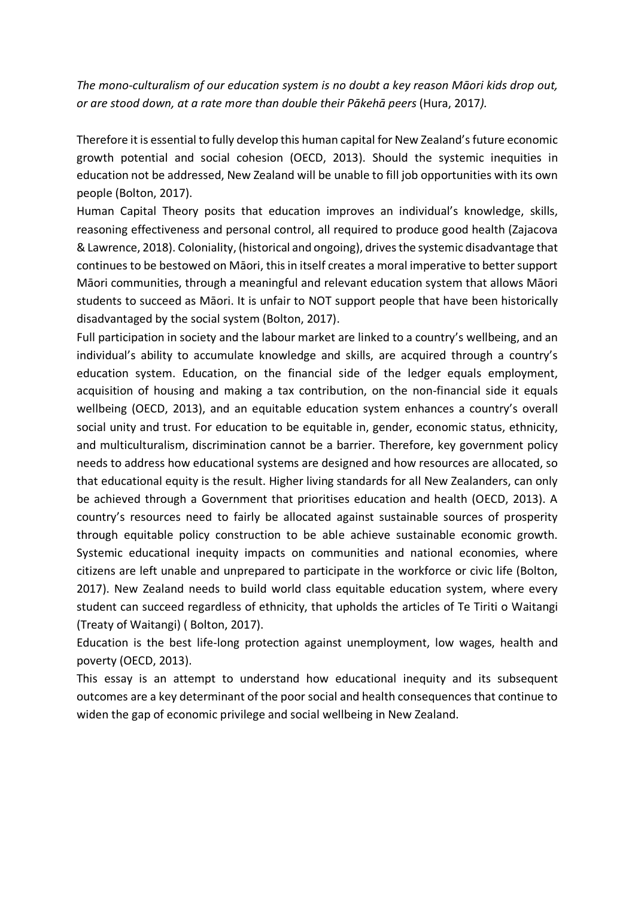*The mono-culturalism of our education system is no doubt a key reason Māori kids drop out, or are stood down, at a rate more than double their Pākehā peers* (Hura, 2017*).* 

Therefore it is essential to fully develop this human capital for New Zealand's future economic growth potential and social cohesion (OECD, 2013). Should the systemic inequities in education not be addressed, New Zealand will be unable to fill job opportunities with its own people (Bolton, 2017).

Human Capital Theory posits that education improves an individual's knowledge, skills, reasoning effectiveness and personal control, all required to produce good health (Zajacova & Lawrence, 2018). Coloniality, (historical and ongoing), drivesthe systemic disadvantage that continues to be bestowed on Māori, this in itself creates a moral imperative to better support Māori communities, through a meaningful and relevant education system that allows Māori students to succeed as Māori. It is unfair to NOT support people that have been historically disadvantaged by the social system (Bolton, 2017).

Full participation in society and the labour market are linked to a country's wellbeing, and an individual's ability to accumulate knowledge and skills, are acquired through a country's education system. Education, on the financial side of the ledger equals employment, acquisition of housing and making a tax contribution, on the non-financial side it equals wellbeing (OECD, 2013), and an equitable education system enhances a country's overall social unity and trust. For education to be equitable in, gender, economic status, ethnicity, and multiculturalism, discrimination cannot be a barrier. Therefore, key government policy needs to address how educational systems are designed and how resources are allocated, so that educational equity is the result. Higher living standards for all New Zealanders, can only be achieved through a Government that prioritises education and health (OECD, 2013). A country's resources need to fairly be allocated against sustainable sources of prosperity through equitable policy construction to be able achieve sustainable economic growth. Systemic educational inequity impacts on communities and national economies, where citizens are left unable and unprepared to participate in the workforce or civic life (Bolton, 2017). New Zealand needs to build world class equitable education system, where every student can succeed regardless of ethnicity, that upholds the articles of Te Tiriti o Waitangi (Treaty of Waitangi) ( Bolton, 2017).

Education is the best life-long protection against unemployment, low wages, health and poverty (OECD, 2013).

This essay is an attempt to understand how educational inequity and its subsequent outcomes are a key determinant of the poor social and health consequences that continue to widen the gap of economic privilege and social wellbeing in New Zealand.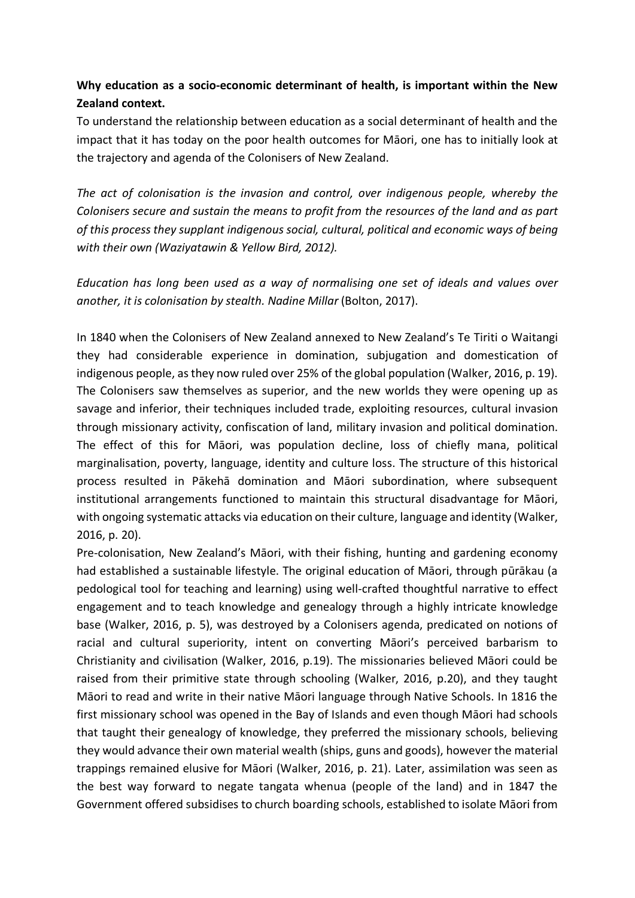# **Why education as a socio-economic determinant of health, is important within the New Zealand context.**

To understand the relationship between education as a social determinant of health and the impact that it has today on the poor health outcomes for Māori, one has to initially look at the trajectory and agenda of the Colonisers of New Zealand.

*The act of colonisation is the invasion and control, over indigenous people, whereby the Colonisers secure and sustain the means to profit from the resources of the land and as part of this process they supplant indigenous social, cultural, political and economic ways of being with their own (Waziyatawin & Yellow Bird, 2012).*

*Education has long been used as a way of normalising one set of ideals and values over another, it is colonisation by stealth. Nadine Millar* (Bolton, 2017).

In 1840 when the Colonisers of New Zealand annexed to New Zealand's Te Tiriti o Waitangi they had considerable experience in domination, subjugation and domestication of indigenous people, as they now ruled over 25% of the global population (Walker, 2016, p. 19). The Colonisers saw themselves as superior, and the new worlds they were opening up as savage and inferior, their techniques included trade, exploiting resources, cultural invasion through missionary activity, confiscation of land, military invasion and political domination. The effect of this for Māori, was population decline, loss of chiefly mana, political marginalisation, poverty, language, identity and culture loss. The structure of this historical process resulted in Pākehā domination and Māori subordination, where subsequent institutional arrangements functioned to maintain this structural disadvantage for Māori, with ongoing systematic attacks via education on their culture, language and identity (Walker, 2016, p. 20).

Pre-colonisation, New Zealand's Māori, with their fishing, hunting and gardening economy had established a sustainable lifestyle. The original education of Māori, through pūrākau (a pedological tool for teaching and learning) using well-crafted thoughtful narrative to effect engagement and to teach knowledge and genealogy through a highly intricate knowledge base (Walker, 2016, p. 5), was destroyed by a Colonisers agenda, predicated on notions of racial and cultural superiority, intent on converting Māori's perceived barbarism to Christianity and civilisation (Walker, 2016, p.19). The missionaries believed Māori could be raised from their primitive state through schooling (Walker, 2016, p.20), and they taught Māori to read and write in their native Māori language through Native Schools. In 1816 the first missionary school was opened in the Bay of Islands and even though Māori had schools that taught their genealogy of knowledge, they preferred the missionary schools, believing they would advance their own material wealth (ships, guns and goods), however the material trappings remained elusive for Māori (Walker, 2016, p. 21). Later, assimilation was seen as the best way forward to negate tangata whenua (people of the land) and in 1847 the Government offered subsidises to church boarding schools, established to isolate Māori from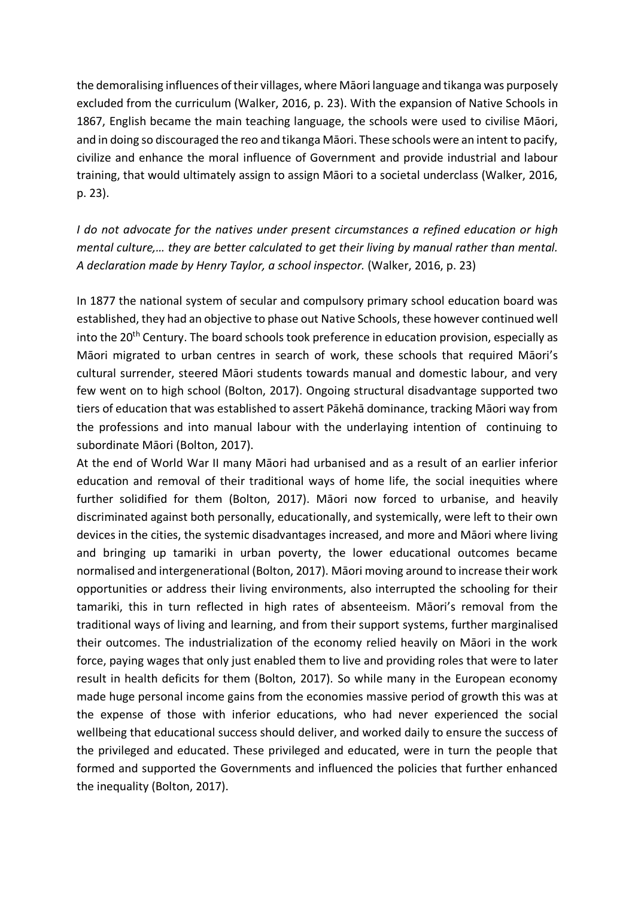the demoralising influences of their villages, where Māori language and tikanga was purposely excluded from the curriculum (Walker, 2016, p. 23). With the expansion of Native Schools in 1867, English became the main teaching language, the schools were used to civilise Māori, and in doing so discouraged the reo and tikanga Māori. These schools were an intent to pacify, civilize and enhance the moral influence of Government and provide industrial and labour training, that would ultimately assign to assign Māori to a societal underclass (Walker, 2016, p. 23).

*I do not advocate for the natives under present circumstances a refined education or high mental culture,… they are better calculated to get their living by manual rather than mental. A declaration made by Henry Taylor, a school inspector.* (Walker, 2016, p. 23)

In 1877 the national system of secular and compulsory primary school education board was established, they had an objective to phase out Native Schools, these however continued well into the 20<sup>th</sup> Century. The board schools took preference in education provision, especially as Māori migrated to urban centres in search of work, these schools that required Māori's cultural surrender, steered Māori students towards manual and domestic labour, and very few went on to high school (Bolton, 2017). Ongoing structural disadvantage supported two tiers of education that was established to assert Pākehā dominance, tracking Māori way from the professions and into manual labour with the underlaying intention of continuing to subordinate Māori (Bolton, 2017).

At the end of World War II many Māori had urbanised and as a result of an earlier inferior education and removal of their traditional ways of home life, the social inequities where further solidified for them (Bolton, 2017). Māori now forced to urbanise, and heavily discriminated against both personally, educationally, and systemically, were left to their own devices in the cities, the systemic disadvantages increased, and more and Māori where living and bringing up tamariki in urban poverty, the lower educational outcomes became normalised and intergenerational (Bolton, 2017). Māori moving around to increase their work opportunities or address their living environments, also interrupted the schooling for their tamariki, this in turn reflected in high rates of absenteeism. Māori's removal from the traditional ways of living and learning, and from their support systems, further marginalised their outcomes. The industrialization of the economy relied heavily on Māori in the work force, paying wages that only just enabled them to live and providing roles that were to later result in health deficits for them (Bolton, 2017). So while many in the European economy made huge personal income gains from the economies massive period of growth this was at the expense of those with inferior educations, who had never experienced the social wellbeing that educational success should deliver, and worked daily to ensure the success of the privileged and educated. These privileged and educated, were in turn the people that formed and supported the Governments and influenced the policies that further enhanced the inequality (Bolton, 2017).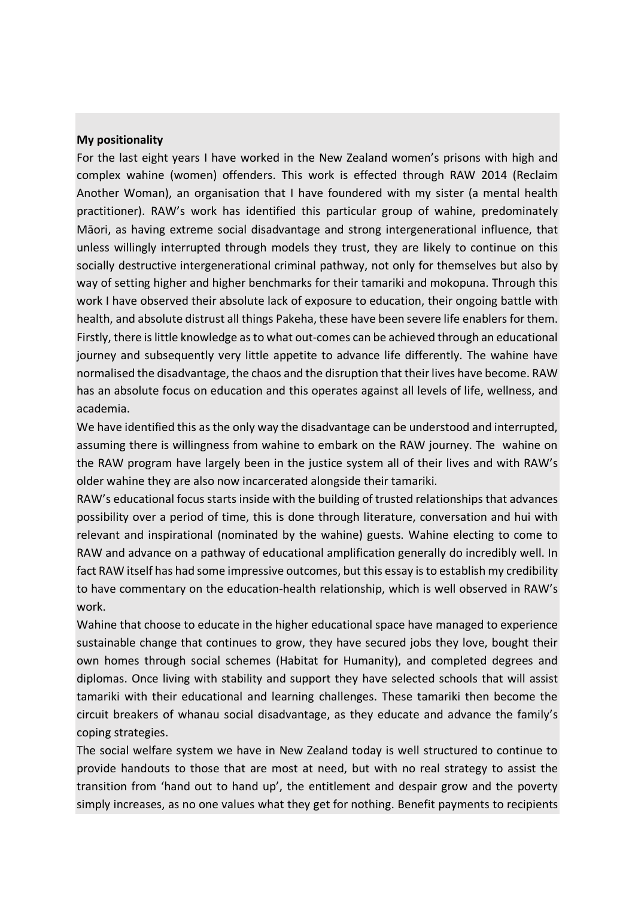### **My positionality**

For the last eight years I have worked in the New Zealand women's prisons with high and complex wahine (women) offenders. This work is effected through RAW 2014 (Reclaim Another Woman), an organisation that I have foundered with my sister (a mental health practitioner). RAW's work has identified this particular group of wahine, predominately Māori, as having extreme social disadvantage and strong intergenerational influence, that unless willingly interrupted through models they trust, they are likely to continue on this socially destructive intergenerational criminal pathway, not only for themselves but also by way of setting higher and higher benchmarks for their tamariki and mokopuna. Through this work I have observed their absolute lack of exposure to education, their ongoing battle with health, and absolute distrust all things Pakeha, these have been severe life enablers for them. Firstly, there is little knowledge as to what out-comes can be achieved through an educational journey and subsequently very little appetite to advance life differently. The wahine have normalised the disadvantage, the chaos and the disruption that their lives have become. RAW has an absolute focus on education and this operates against all levels of life, wellness, and academia.

We have identified this as the only way the disadvantage can be understood and interrupted, assuming there is willingness from wahine to embark on the RAW journey. The wahine on the RAW program have largely been in the justice system all of their lives and with RAW's older wahine they are also now incarcerated alongside their tamariki.

RAW's educational focus starts inside with the building of trusted relationships that advances possibility over a period of time, this is done through literature, conversation and hui with relevant and inspirational (nominated by the wahine) guests. Wahine electing to come to RAW and advance on a pathway of educational amplification generally do incredibly well. In fact RAW itself has had some impressive outcomes, but this essay is to establish my credibility to have commentary on the education-health relationship, which is well observed in RAW's work.

Wahine that choose to educate in the higher educational space have managed to experience sustainable change that continues to grow, they have secured jobs they love, bought their own homes through social schemes (Habitat for Humanity), and completed degrees and diplomas. Once living with stability and support they have selected schools that will assist tamariki with their educational and learning challenges. These tamariki then become the circuit breakers of whanau social disadvantage, as they educate and advance the family's coping strategies.

The social welfare system we have in New Zealand today is well structured to continue to provide handouts to those that are most at need, but with no real strategy to assist the transition from 'hand out to hand up', the entitlement and despair grow and the poverty simply increases, as no one values what they get for nothing. Benefit payments to recipients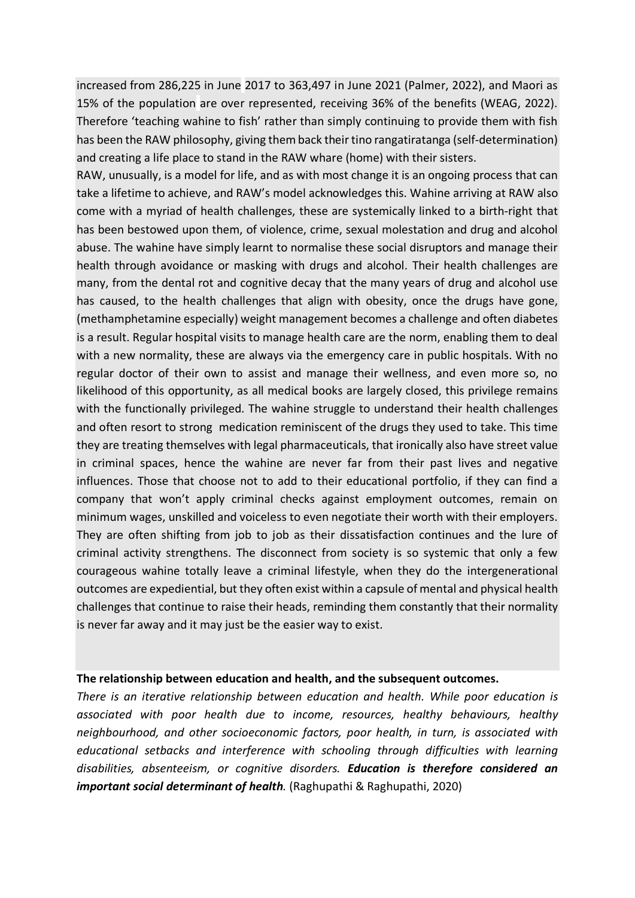increased from 286,225 in June 2017 to 363,497 in June 2021 (Palmer, 2022), and Maori as 15% of the population are over represented, receiving 36% of the benefits (WEAG, 2022). Therefore 'teaching wahine to fish' rather than simply continuing to provide them with fish has been the RAW philosophy, giving them back their tino rangatiratanga (self-determination) and creating a life place to stand in the RAW whare (home) with their sisters.

RAW, unusually, is a model for life, and as with most change it is an ongoing process that can take a lifetime to achieve, and RAW's model acknowledges this. Wahine arriving at RAW also come with a myriad of health challenges, these are systemically linked to a birth-right that has been bestowed upon them, of violence, crime, sexual molestation and drug and alcohol abuse. The wahine have simply learnt to normalise these social disruptors and manage their health through avoidance or masking with drugs and alcohol. Their health challenges are many, from the dental rot and cognitive decay that the many years of drug and alcohol use has caused, to the health challenges that align with obesity, once the drugs have gone, (methamphetamine especially) weight management becomes a challenge and often diabetes is a result. Regular hospital visits to manage health care are the norm, enabling them to deal with a new normality, these are always via the emergency care in public hospitals. With no regular doctor of their own to assist and manage their wellness, and even more so, no likelihood of this opportunity, as all medical books are largely closed, this privilege remains with the functionally privileged. The wahine struggle to understand their health challenges and often resort to strong medication reminiscent of the drugs they used to take. This time they are treating themselves with legal pharmaceuticals, that ironically also have street value in criminal spaces, hence the wahine are never far from their past lives and negative influences. Those that choose not to add to their educational portfolio, if they can find a company that won't apply criminal checks against employment outcomes, remain on minimum wages, unskilled and voiceless to even negotiate their worth with their employers. They are often shifting from job to job as their dissatisfaction continues and the lure of criminal activity strengthens. The disconnect from society is so systemic that only a few courageous wahine totally leave a criminal lifestyle, when they do the intergenerational outcomes are expediential, but they often exist within a capsule of mental and physical health challenges that continue to raise their heads, reminding them constantly that their normality is never far away and it may just be the easier way to exist.

#### **The relationship between education and health, and the subsequent outcomes.**

*There is an iterative relationship between education and health. While poor education is associated with poor health due to income, resources, healthy behaviours, healthy neighbourhood, and other socioeconomic factors, poor health, in turn, is associated with educational setbacks and interference with schooling through difficulties with learning disabilities, absenteeism, or cognitive disorders. Education is therefore considered an important social determinant of health*. (Raghupathi & Raghupathi, 2020)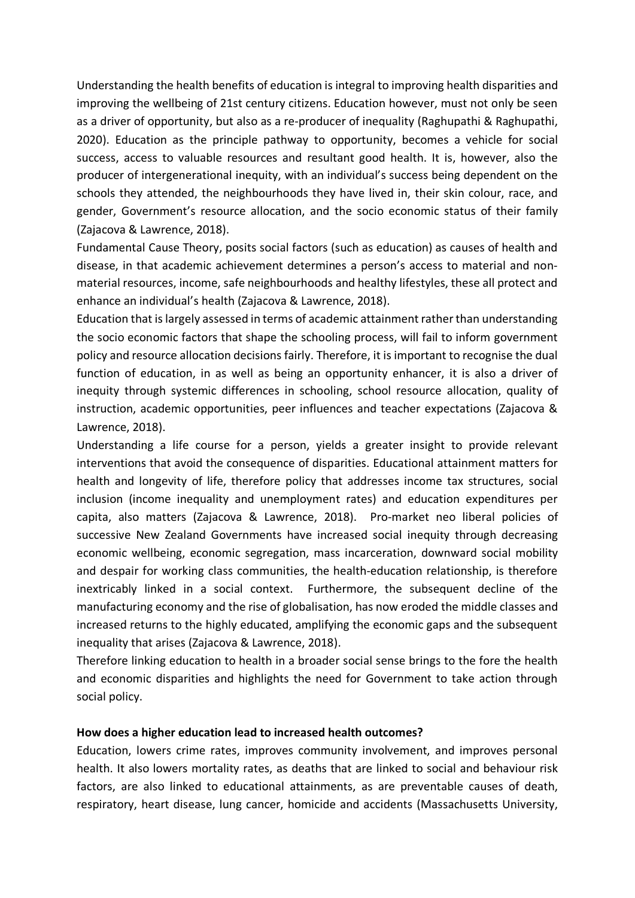Understanding the health benefits of education is integral to improving health disparities and improving the wellbeing of 21st century citizens. Education however, must not only be seen as a driver of opportunity, but also as a re-producer of inequality (Raghupathi & Raghupathi, 2020). Education as the principle pathway to opportunity, becomes a vehicle for social success, access to valuable resources and resultant good health. It is, however, also the producer of intergenerational inequity, with an individual's success being dependent on the schools they attended, the neighbourhoods they have lived in, their skin colour, race, and gender, Government's resource allocation, and the socio economic status of their family (Zajacova & Lawrence, 2018).

Fundamental Cause Theory, posits social factors (such as education) as causes of health and disease, in that academic achievement determines a person's access to material and nonmaterial resources, income, safe neighbourhoods and healthy lifestyles, these all protect and enhance an individual's health (Zajacova & Lawrence, 2018).

Education that is largely assessed in terms of academic attainment rather than understanding the socio economic factors that shape the schooling process, will fail to inform government policy and resource allocation decisions fairly. Therefore, it is important to recognise the dual function of education, in as well as being an opportunity enhancer, it is also a driver of inequity through systemic differences in schooling, school resource allocation, quality of instruction, academic opportunities, peer influences and teacher expectations (Zajacova & Lawrence, 2018).

Understanding a life course for a person, yields a greater insight to provide relevant interventions that avoid the consequence of disparities. Educational attainment matters for health and longevity of life, therefore policy that addresses income tax structures, social inclusion (income inequality and unemployment rates) and education expenditures per capita, also matters (Zajacova & Lawrence, 2018). Pro-market neo liberal policies of successive New Zealand Governments have increased social inequity through decreasing economic wellbeing, economic segregation, mass incarceration, downward social mobility and despair for working class communities, the health-education relationship, is therefore inextricably linked in a social context. Furthermore, the subsequent decline of the manufacturing economy and the rise of globalisation, has now eroded the middle classes and increased returns to the highly educated, amplifying the economic gaps and the subsequent inequality that arises (Zajacova & Lawrence, 2018).

Therefore linking education to health in a broader social sense brings to the fore the health and economic disparities and highlights the need for Government to take action through social policy.

## **How does a higher education lead to increased health outcomes?**

Education, lowers crime rates, improves community involvement, and improves personal health. It also lowers mortality rates, as deaths that are linked to social and behaviour risk factors, are also linked to educational attainments, as are preventable causes of death, respiratory, heart disease, lung cancer, homicide and accidents (Massachusetts University,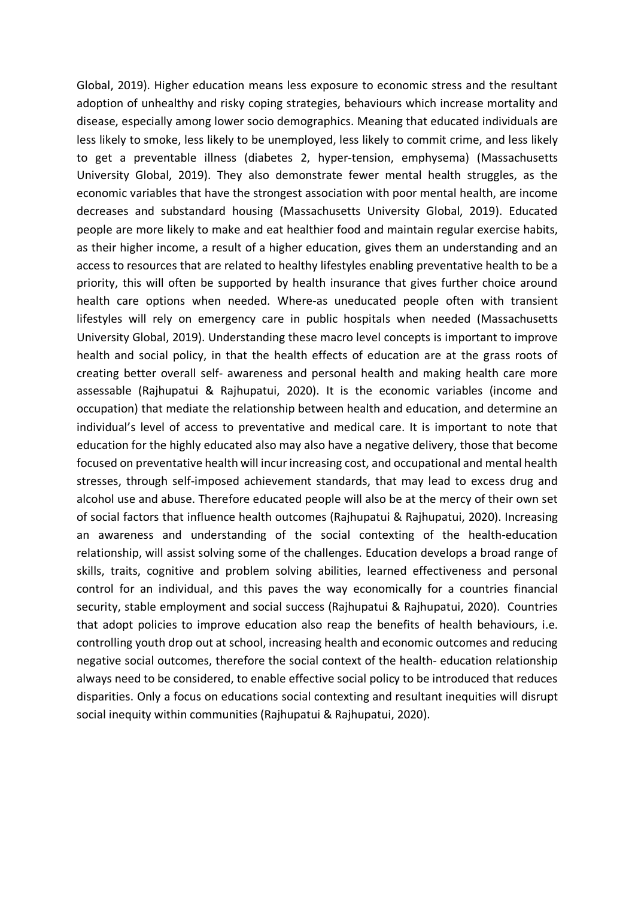Global, 2019). Higher education means less exposure to economic stress and the resultant adoption of unhealthy and risky coping strategies, behaviours which increase mortality and disease, especially among lower socio demographics. Meaning that educated individuals are less likely to smoke, less likely to be unemployed, less likely to commit crime, and less likely to get a preventable illness (diabetes 2, hyper-tension, emphysema) (Massachusetts University Global, 2019). They also demonstrate fewer mental health struggles, as the economic variables that have the strongest association with poor mental health, are income decreases and substandard housing (Massachusetts University Global, 2019). Educated people are more likely to make and eat healthier food and maintain regular exercise habits, as their higher income, a result of a higher education, gives them an understanding and an access to resources that are related to healthy lifestyles enabling preventative health to be a priority, this will often be supported by health insurance that gives further choice around health care options when needed. Where-as uneducated people often with transient lifestyles will rely on emergency care in public hospitals when needed (Massachusetts University Global, 2019). Understanding these macro level concepts is important to improve health and social policy, in that the health effects of education are at the grass roots of creating better overall self- awareness and personal health and making health care more assessable (Rajhupatui & Rajhupatui, 2020). It is the economic variables (income and occupation) that mediate the relationship between health and education, and determine an individual's level of access to preventative and medical care. It is important to note that education for the highly educated also may also have a negative delivery, those that become focused on preventative health will incur increasing cost, and occupational and mental health stresses, through self-imposed achievement standards, that may lead to excess drug and alcohol use and abuse. Therefore educated people will also be at the mercy of their own set of social factors that influence health outcomes (Rajhupatui & Rajhupatui, 2020). Increasing an awareness and understanding of the social contexting of the health-education relationship, will assist solving some of the challenges. Education develops a broad range of skills, traits, cognitive and problem solving abilities, learned effectiveness and personal control for an individual, and this paves the way economically for a countries financial security, stable employment and social success (Rajhupatui & Rajhupatui, 2020). Countries that adopt policies to improve education also reap the benefits of health behaviours, i.e. controlling youth drop out at school, increasing health and economic outcomes and reducing negative social outcomes, therefore the social context of the health- education relationship always need to be considered, to enable effective social policy to be introduced that reduces disparities. Only a focus on educations social contexting and resultant inequities will disrupt social inequity within communities (Rajhupatui & Rajhupatui, 2020).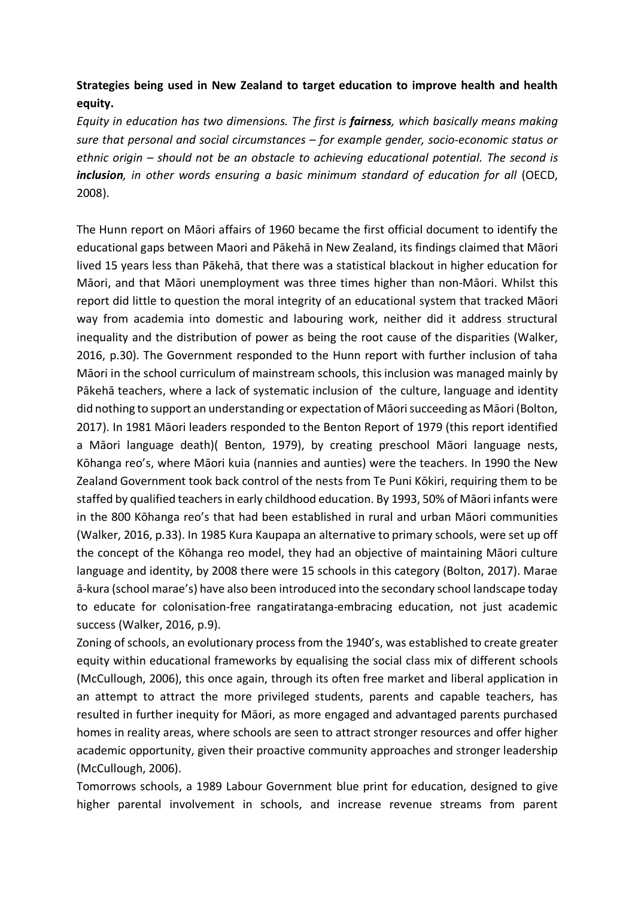# **Strategies being used in New Zealand to target education to improve health and health equity.**

*Equity in education has two dimensions. The first is fairness, which basically means making sure that personal and social circumstances – for example gender, socio-economic status or ethnic origin – should not be an obstacle to achieving educational potential. The second is inclusion, in other words ensuring a basic minimum standard of education for all* (OECD, 2008).

The Hunn report on Māori affairs of 1960 became the first official document to identify the educational gaps between Maori and Pākehā in New Zealand, its findings claimed that Māori lived 15 years less than Pākehā, that there was a statistical blackout in higher education for Māori, and that Māori unemployment was three times higher than non-Māori. Whilst this report did little to question the moral integrity of an educational system that tracked Māori way from academia into domestic and labouring work, neither did it address structural inequality and the distribution of power as being the root cause of the disparities (Walker, 2016, p.30). The Government responded to the Hunn report with further inclusion of taha Māori in the school curriculum of mainstream schools, this inclusion was managed mainly by Pākehā teachers, where a lack of systematic inclusion of the culture, language and identity did nothing to support an understanding or expectation of Māorisucceeding as Māori (Bolton, 2017). In 1981 Māori leaders responded to the Benton Report of 1979 (this report identified a Māori language death)( Benton, 1979), by creating preschool Māori language nests, Kōhanga reo's, where Māori kuia (nannies and aunties) were the teachers. In 1990 the New Zealand Government took back control of the nests from Te Puni Kōkiri, requiring them to be staffed by qualified teachers in early childhood education. By 1993, 50% of Māori infants were in the 800 Kōhanga reo's that had been established in rural and urban Māori communities (Walker, 2016, p.33). In 1985 Kura Kaupapa an alternative to primary schools, were set up off the concept of the Kōhanga reo model, they had an objective of maintaining Māori culture language and identity, by 2008 there were 15 schools in this category (Bolton, 2017). Marae ā-kura (school marae's) have also been introduced into the secondary school landscape today to educate for colonisation-free rangatiratanga-embracing education, not just academic success (Walker, 2016, p.9).

Zoning of schools, an evolutionary process from the 1940's, was established to create greater equity within educational frameworks by equalising the social class mix of different schools (McCullough, 2006), this once again, through its often free market and liberal application in an attempt to attract the more privileged students, parents and capable teachers, has resulted in further inequity for Māori, as more engaged and advantaged parents purchased homes in reality areas, where schools are seen to attract stronger resources and offer higher academic opportunity, given their proactive community approaches and stronger leadership (McCullough, 2006).

Tomorrows schools, a 1989 Labour Government blue print for education, designed to give higher parental involvement in schools, and increase revenue streams from parent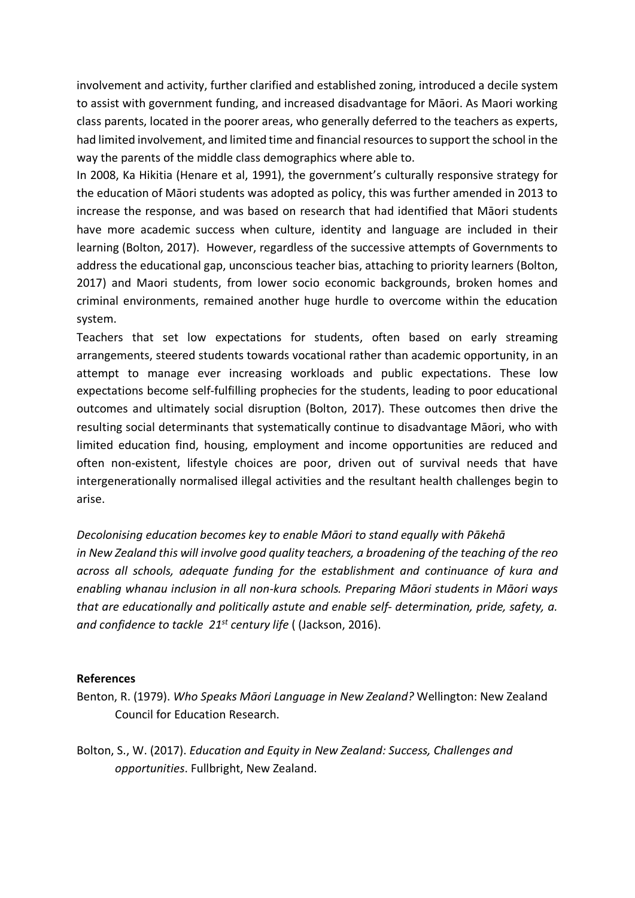involvement and activity, further clarified and established zoning, introduced a decile system to assist with government funding, and increased disadvantage for Māori. As Maori working class parents, located in the poorer areas, who generally deferred to the teachers as experts, had limited involvement, and limited time and financial resources to support the school in the way the parents of the middle class demographics where able to.

In 2008, Ka Hikitia (Henare et al, 1991), the government's culturally responsive strategy for the education of Māori students was adopted as policy, this was further amended in 2013 to increase the response, and was based on research that had identified that Māori students have more academic success when culture, identity and language are included in their learning (Bolton, 2017). However, regardless of the successive attempts of Governments to address the educational gap, unconscious teacher bias, attaching to priority learners (Bolton, 2017) and Maori students, from lower socio economic backgrounds, broken homes and criminal environments, remained another huge hurdle to overcome within the education system.

Teachers that set low expectations for students, often based on early streaming arrangements, steered students towards vocational rather than academic opportunity, in an attempt to manage ever increasing workloads and public expectations. These low expectations become self-fulfilling prophecies for the students, leading to poor educational outcomes and ultimately social disruption (Bolton, 2017). These outcomes then drive the resulting social determinants that systematically continue to disadvantage Māori, who with limited education find, housing, employment and income opportunities are reduced and often non-existent, lifestyle choices are poor, driven out of survival needs that have intergenerationally normalised illegal activities and the resultant health challenges begin to arise.

*Decolonising education becomes key to enable Māori to stand equally with Pākehā in New Zealand this will involve good quality teachers, a broadening of the teaching of the reo across all schools, adequate funding for the establishment and continuance of kura and enabling whanau inclusion in all non-kura schools. Preparing Māori students in Māori ways that are educationally and politically astute and enable self- determination, pride, safety, a. and confidence to tackle 21st century life* ( (Jackson, 2016).

## **References**

- Benton, R. (1979). *Who Speaks Māori Language in New Zealand?* Wellington: New Zealand Council for Education Research.
- Bolton, S., W. (2017). *Education and Equity in New Zealand: Success, Challenges and opportunities*. Fullbright, New Zealand.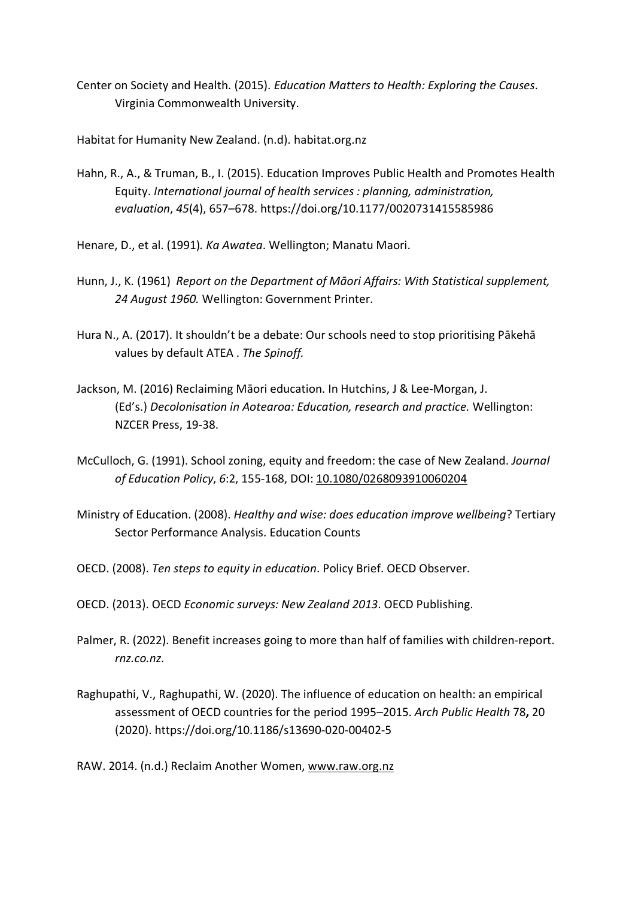Center on Society and Health. (2015). *Education Matters to Health: Exploring the Causes*. Virginia Commonwealth University.

Habitat for Humanity New Zealand. (n.d). habitat.org.nz

Hahn, R., A., & Truman, B., I. (2015). Education Improves Public Health and Promotes Health Equity. *International journal of health services : planning, administration, evaluation*, *45*(4), 657–678. https://doi.org/10.1177/0020731415585986

Henare, D., et al. (1991)*. Ka Awatea*. Wellington; Manatu Maori.

- Hunn, J., K. (1961) *Report on the Department of Māori Affairs: With Statistical supplement, 24 August 1960.* Wellington: Government Printer.
- Hura N., A. (2017). It shouldn't be a debate: Our schools need to stop prioritising Pākehā values by default ATEA . *The Spinoff.*
- Jackson, M. (2016) Reclaiming Māori education. In Hutchins, J & Lee-Morgan, J. (Ed's.) *Decolonisation in Aotearoa: Education, research and practice.* Wellington: NZCER Press, 19-38.
- McCulloch, G. (1991). School zoning, equity and freedom: the case of New Zealand. *Journal of Education Policy*, *6*:2, 155-168, DOI: 10.1080/0268093910060204
- Ministry of Education. (2008). *Healthy and wise: does education improve wellbeing*? Tertiary Sector Performance Analysis. Education Counts
- OECD. (2008). *Ten steps to equity in education*. Policy Brief. OECD Observer.
- OECD. (2013). OECD *Economic surveys: New Zealand 2013*. OECD Publishing.
- Palmer, R. (2022). Benefit increases going to more than half of families with children-report. *rnz.co.nz*.
- Raghupathi, V., Raghupathi, W. (2020). The influence of education on health: an empirical assessment of OECD countries for the period 1995–2015. *Arch Public Health* 78**,** 20 (2020). https://doi.org/10.1186/s13690-020-00402-5

RAW. 2014. (n.d.) Reclaim Another Women, www.raw.org.nz